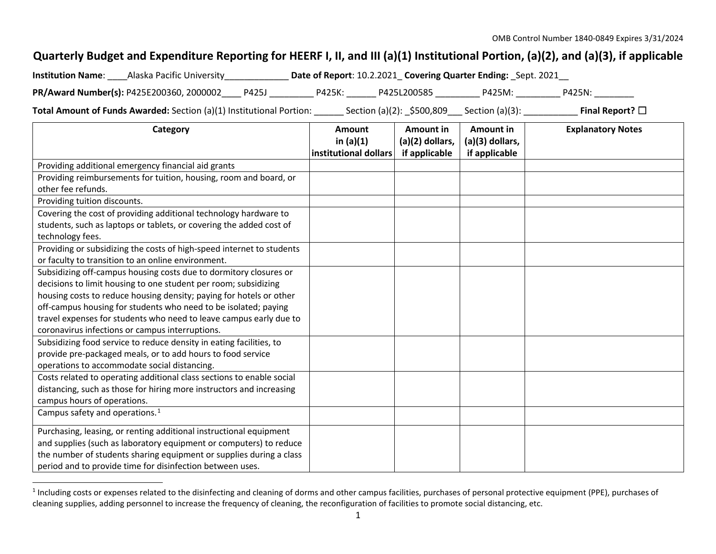## <span id="page-0-0"></span>**Quarterly Budget and Expenditure Reporting for HEERF I, II, and III (a)(1) Institutional Portion, (a)(2), and (a)(3), if applicable**

| <b>Institution Name:</b> | Alaska Pacific University                |       |        | Date of Report: 10.2.2021 Covering Quarter Ending: Sept. 2021 |        |        |
|--------------------------|------------------------------------------|-------|--------|---------------------------------------------------------------|--------|--------|
|                          | PR/Award Number(s): P425E200360, 2000002 | P425J | P425K: | P425L200585                                                   | P425M: | P425N: |

**Total Amount of Funds Awarded:** Section (a)(1) Institutional Portion: \_\_\_\_\_\_ Section (a)(2): \_\$500,809\_\_\_ Section (a)(3): \_\_\_\_\_\_\_\_\_\_\_\_ **Final Report?** □

| Category                                                              | <b>Amount</b><br>in $(a)(1)$ | <b>Amount in</b><br>(a)(2) dollars, | <b>Amount in</b><br>(a)(3) dollars, | <b>Explanatory Notes</b> |
|-----------------------------------------------------------------------|------------------------------|-------------------------------------|-------------------------------------|--------------------------|
|                                                                       | institutional dollars        | if applicable                       | if applicable                       |                          |
| Providing additional emergency financial aid grants                   |                              |                                     |                                     |                          |
| Providing reimbursements for tuition, housing, room and board, or     |                              |                                     |                                     |                          |
| other fee refunds.                                                    |                              |                                     |                                     |                          |
| Providing tuition discounts.                                          |                              |                                     |                                     |                          |
| Covering the cost of providing additional technology hardware to      |                              |                                     |                                     |                          |
| students, such as laptops or tablets, or covering the added cost of   |                              |                                     |                                     |                          |
| technology fees.                                                      |                              |                                     |                                     |                          |
| Providing or subsidizing the costs of high-speed internet to students |                              |                                     |                                     |                          |
| or faculty to transition to an online environment.                    |                              |                                     |                                     |                          |
| Subsidizing off-campus housing costs due to dormitory closures or     |                              |                                     |                                     |                          |
| decisions to limit housing to one student per room; subsidizing       |                              |                                     |                                     |                          |
| housing costs to reduce housing density; paying for hotels or other   |                              |                                     |                                     |                          |
| off-campus housing for students who need to be isolated; paying       |                              |                                     |                                     |                          |
| travel expenses for students who need to leave campus early due to    |                              |                                     |                                     |                          |
| coronavirus infections or campus interruptions.                       |                              |                                     |                                     |                          |
| Subsidizing food service to reduce density in eating facilities, to   |                              |                                     |                                     |                          |
| provide pre-packaged meals, or to add hours to food service           |                              |                                     |                                     |                          |
| operations to accommodate social distancing.                          |                              |                                     |                                     |                          |
| Costs related to operating additional class sections to enable social |                              |                                     |                                     |                          |
| distancing, such as those for hiring more instructors and increasing  |                              |                                     |                                     |                          |
| campus hours of operations.                                           |                              |                                     |                                     |                          |
| Campus safety and operations. $1$                                     |                              |                                     |                                     |                          |
| Purchasing, leasing, or renting additional instructional equipment    |                              |                                     |                                     |                          |
| and supplies (such as laboratory equipment or computers) to reduce    |                              |                                     |                                     |                          |
| the number of students sharing equipment or supplies during a class   |                              |                                     |                                     |                          |
| period and to provide time for disinfection between uses.             |                              |                                     |                                     |                          |

<sup>&</sup>lt;sup>1</sup> Including costs or expenses related to the disinfecting and cleaning of dorms and other campus facilities, purchases of personal protective equipment (PPE), purchases of cleaning supplies, adding personnel to increase the frequency of cleaning, the reconfiguration of facilities to promote social distancing, etc.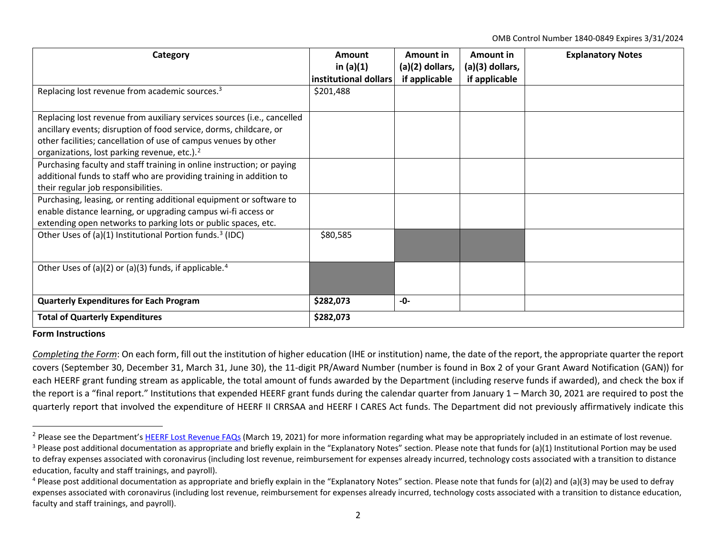<span id="page-1-2"></span><span id="page-1-1"></span><span id="page-1-0"></span>OMB Control Number 1840-0849 Expires 3/31/2024

| Category                                                                | Amount                | Amount in       | Amount in       | <b>Explanatory Notes</b> |
|-------------------------------------------------------------------------|-----------------------|-----------------|-----------------|--------------------------|
|                                                                         | in $(a)(1)$           | (a)(2) dollars, | (a)(3) dollars, |                          |
|                                                                         | institutional dollars | if applicable   | if applicable   |                          |
| Replacing lost revenue from academic sources. <sup>3</sup>              | \$201,488             |                 |                 |                          |
|                                                                         |                       |                 |                 |                          |
| Replacing lost revenue from auxiliary services sources (i.e., cancelled |                       |                 |                 |                          |
| ancillary events; disruption of food service, dorms, childcare, or      |                       |                 |                 |                          |
| other facilities; cancellation of use of campus venues by other         |                       |                 |                 |                          |
| organizations, lost parking revenue, etc.). <sup>2</sup>                |                       |                 |                 |                          |
| Purchasing faculty and staff training in online instruction; or paying  |                       |                 |                 |                          |
| additional funds to staff who are providing training in addition to     |                       |                 |                 |                          |
| their regular job responsibilities.                                     |                       |                 |                 |                          |
| Purchasing, leasing, or renting additional equipment or software to     |                       |                 |                 |                          |
| enable distance learning, or upgrading campus wi-fi access or           |                       |                 |                 |                          |
| extending open networks to parking lots or public spaces, etc.          |                       |                 |                 |                          |
| Other Uses of (a)(1) Institutional Portion funds. <sup>3</sup> (IDC)    | \$80,585              |                 |                 |                          |
|                                                                         |                       |                 |                 |                          |
|                                                                         |                       |                 |                 |                          |
| Other Uses of (a)(2) or (a)(3) funds, if applicable. <sup>4</sup>       |                       |                 |                 |                          |
|                                                                         |                       |                 |                 |                          |
| <b>Quarterly Expenditures for Each Program</b>                          | \$282,073             | -0-             |                 |                          |
| <b>Total of Quarterly Expenditures</b>                                  | \$282,073             |                 |                 |                          |

## **Form Instructions**

*Completing the Form*: On each form, fill out the institution of higher education (IHE or institution) name, the date of the report, the appropriate quarter the report covers (September 30, December 31, March 31, June 30), the 11-digit PR/Award Number (number is found in Box 2 of your Grant Award Notification (GAN)) for each HEERF grant funding stream as applicable, the total amount of funds awarded by the Department (including reserve funds if awarded), and check the box if the report is a "final report." Institutions that expended HEERF grant funds during the calendar quarter from January 1 – March 30, 2021 are required to post the quarterly report that involved the expenditure of HEERF II CRRSAA and HEERF I CARES Act funds. The Department did not previously affirmatively indicate this

 $^{2}$  Please see the Department'[s HEERF Lost Revenue FAQs](https://www2.ed.gov/about/offices/list/ope/heerflostrevenuefaqs.pdf) (March 19, 2021) for more information regarding what may be appropriately included in an estimate of lost revenue.

<sup>&</sup>lt;sup>3</sup> Please post additional documentation as appropriate and briefly explain in the "Explanatory Notes" section. Please note that funds for (a)(1) Institutional Portion may be used to defray expenses associated with coronavirus (including lost revenue, reimbursement for expenses already incurred, technology costs associated with a transition to distance education, faculty and staff trainings, and payroll).

<sup>4</sup> Please post additional documentation as appropriate and briefly explain in the "Explanatory Notes" section. Please note that funds for (a)(2) and (a)(3) may be used to defray expenses associated with coronavirus (including lost revenue, reimbursement for expenses already incurred, technology costs associated with a transition to distance education, faculty and staff trainings, and payroll).